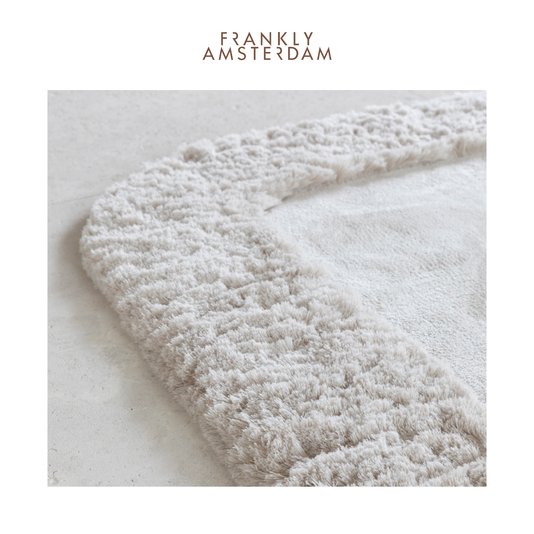## FRANKLY<br>AMSTERDAM

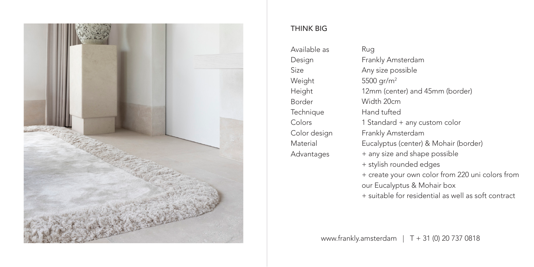

## THINK BIG

Available as Design Size Weight Height Border Technique Colors Color design Material Advantages

Rug Frankly Amsterdam Any size possible 5500  $\text{~cm}^2$ 12mm (center) and 45mm (border) Width 20cm Hand tufted 1 Standard + any custom color Frankly Amsterdam Eucalyptus (center) & Mohair (border) + any size and shape possible + stylish rounded edges + create your own color from 220 uni colors from our Eucalyptus & Mohair box + suitable for residential as well as soft contract

www.frankly.amsterdam | T + 31 (0) 20 737 0818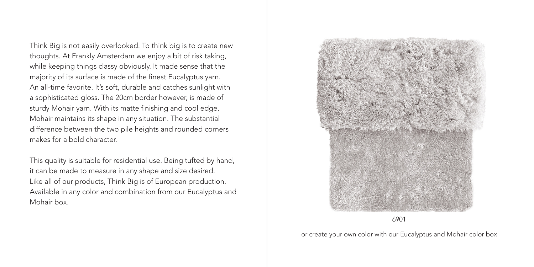Think Big is not easily overlooked. To think big is to create new thoughts. At Frankly Amsterdam we enjoy a bit of risk taking, while keeping things classy obviously. It made sense that the majority of its surface is made of the finest Eucalyptus yarn. An all-time favorite. It's soft, durable and catches sunlight with a sophisticated gloss. The 20cm border however, is made of sturdy Mohair yarn. With its matte finishing and cool edge, Mohair maintains its shape in any situation. The substantial difference between the two pile heights and rounded corners makes for a bold character.

This quality is suitable for residential use. Being tufted by hand, it can be made to measure in any shape and size desired. Like all of our products, Think Big is of European production. Available in any color and combination from our Eucalyptus and Mohair box.



6901

or create your own color with our Eucalyptus and Mohair color box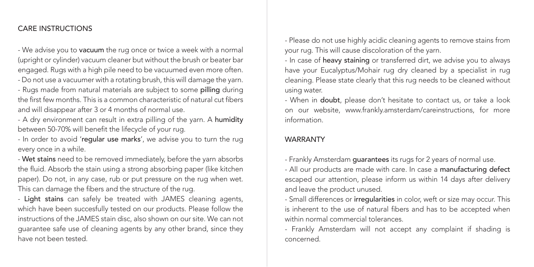## CARE INSTRUCTIONS

- We advise you to vacuum the rug once or twice a week with a normal (upright or cylinder) vacuum cleaner but without the brush or beater bar engaged. Rugs with a high pile need to be vacuumed even more often. - Do not use a vacuumer with a rotating brush, this will damage the yarn. - Rugs made from natural materials are subject to some pilling during the first few months. This is a common characteristic of natural cut fibers and will disappear after 3 or 4 months of normal use.

- A dry environment can result in extra pilling of the yarn. A humidity between 50-70% will benefit the lifecycle of your rug.

- In order to avoid 'regular use marks', we advise you to turn the rug every once in a while.

- Wet stains need to be removed immediately, before the yarn absorbs the fluid. Absorb the stain using a strong absorbing paper (like kitchen paper). Do not, in any case, rub or put pressure on the rug when wet. This can damage the fibers and the structure of the rug.

- Light stains can safely be treated with JAMES cleaning agents, which have been succesfully tested on our products. Please follow the instructions of the JAMES stain disc, also shown on our site. We can not guarantee safe use of cleaning agents by any other brand, since they have not been tested.

- Please do not use highly acidic cleaning agents to remove stains from your rug. This will cause discoloration of the yarn.

- In case of heavy staining or transferred dirt, we advise you to always have your Eucalyptus/Mohair rug dry cleaned by a specialist in rug cleaning. Please state clearly that this rug needs to be cleaned without using water.

- When in doubt, please don't hesitate to contact us, or take a look on our website, www.frankly.amsterdam/careinstructions, for more information.

## WARRANTY

- Frankly Amsterdam guarantees its rugs for 2 years of normal use.

- All our products are made with care. In case a manufacturing defect escaped our attention, please inform us within 14 days after delivery and leave the product unused.

- Small differences or irregularities in color, weft or size may occur. This is inherent to the use of natural fibers and has to be accepted when within normal commercial tolerances.

- Frankly Amsterdam will not accept any complaint if shading is concerned.